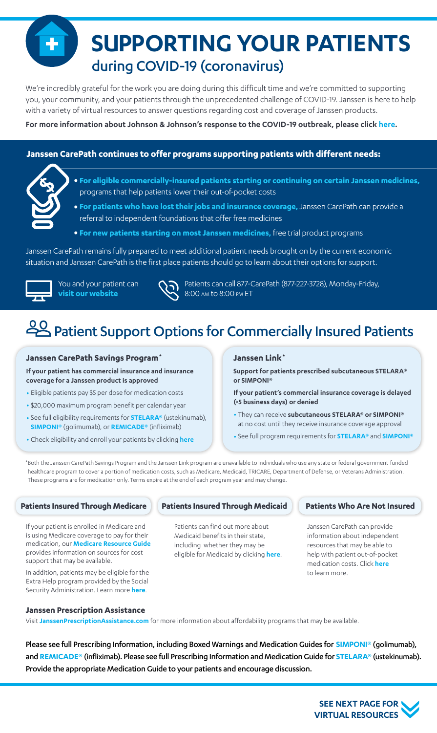**SUPPORTING YOUR PATIENTS** during COVID-19 (coronavirus)

We're incredibly grateful for the work you are doing during this difficult time and we're committed to supporting you, your community, and your patients through the unprecedented challenge of COVID-19. Janssen is here to help with a variety of virtual resources to answer questions regarding cost and coverage of Janssen products.

**For more information about Johnson & Johnson's response to the COVID-19 outbreak, please click [here.](https://www.jnj.com/coronavirus)**

**Janssen CarePath continues to offer programs supporting patients with different needs:**



- **• For eligible commercially-insured patients starting or continuing on certain Janssen medicines,**  programs that help patients lower their out-of-pocket costs
- **• For patients who have lost their jobs and insurance coverage,** Janssen CarePath can provide a referral to independent foundations that offer free medicines
- **• For new patients starting on most Janssen medicines,** free trial product programs

Janssen CarePath remains fully prepared to meet additional patient needs brought on by the current economic situation and Janssen CarePath is the first place patients should go to learn about their options for support.



You and your patient can **[visit our website](https://www.janssencarepath.com/)**



Patients can call 877-CarePath (877-227-3728), Monday-Friday, 8:00 am to 8:00 pm ET

# Patient Support Options for Commercially Insured Patients

#### **Janssen CarePath Savings Program\***

**If your patient has commercial insurance and insurance coverage for a Janssen product is approved**

- Eligible patients pay \$5 per dose for medication costs
- \$20,000 maximum program benefit per calendar year
- See full eligibility requirements for **[STELARA®](https://Stelara.JanssenCarePathSavings.com)** (ustekinumab), **[SIMPONI®](https://Simponi.JanssenCarePathSavings.com)** (golimumab), or **[REMICADE®](https://Remicade.JanssenCarePathSavings.com)** (infliximab)
- Check eligibility and enroll your patients by clicking **[here](https://www.janssencarepathportal.com/s/login/)**

#### **Janssen Link\***

**Support for patients prescribed subcutaneous STELARA® or SIMPONI®** 

- **If your patient's commercial insurance coverage is delayed (>5 business days) or denied**
- They can receive **subcutaneous STELARA® or SIMPONI®** at no cost until they receive insurance coverage approval
- See full program requirements for **[STELARA®](https://www.janssencarepath.com/hcp/stelara/insurance-coverage/janssen-link)** and **[SIMPONI®](https://www.janssencarepath.com/hcp/simponi/insurance-coverage/janssen-link)**

\*Both the Janssen CarePath Savings Program and the Janssen Link program are unavailable to individuals who use any state or federal government-funded healthcare program to cover a portion of medication costs, such as Medicare, Medicaid, TRICARE, Department of Defense, or Veterans Administration. These programs are for medication only. Terms expire at the end of each program year and may change.

If your patient is enrolled in Medicare and is using Medicare coverage to pay for their medication, our **[Medicare Resource Guide](https://www.janssencarepath.com/sites/www.janssencarepath.com/files/medicare-resource-guide.pdf)** provides information on sources for cost support that may be available.

In addition, patients may be eligible for the Extra Help program provided by the Social Security Administration. Learn more **[here](https://www.ssa.gov/benefits/medicare/prescriptionhelp/)**.

#### **Patients Insured Through Medicare | Patients Insured Through Medicaid**

Patients can find out more about Medicaid benefits in their state, including whether they may be eligible for Medicaid by clicking **[here](https://www.healthcare.gov/medicaid-chip/)**.

#### **Patients Who Are Not Insured**

Janssen CarePath can provide information about independent resources that may be able to help with patient out-of-pocket medication costs. Click **[here](www.janssenprescriptionassistance.com/)** to learn more.

#### **Janssen Prescription Assistance**

Visit **[JanssenPrescriptionAssistance.com](https://www.janssenprescriptionassistance.com/)** for more information about affordability programs that may be available.

Please see full Prescribing Information, including Boxed Warnings and Medication Guides for **[SIMPONI®](http://www.janssenlabels.com/package-insert/product-monograph/prescribing-information/SIMPONI-pi.pdf)** (golimumab), and **[REMICADE®](http://www.janssenlabels.com/package-insert/product-monograph/prescribing-information/REMICADE-pi.pdf)** (infliximab). Please see full Prescribing Information and Medication Guide for **[STELARA®](http://www.janssenlabels.com/package-insert/product-monograph/prescribing-information/STELARA-pi.pdf)** (ustekinumab). Provide the appropriate Medication Guide to your patients and encourage discussion.